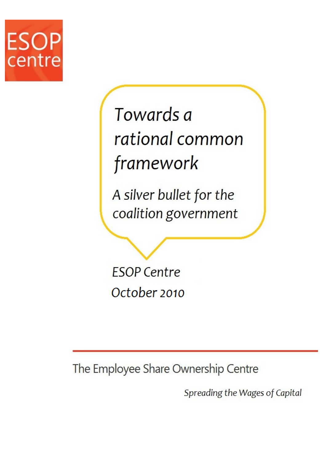

# Towards a rational common framework

A silver bullet for the coalition government

**ESOP Centre** October 2010

The Employee Share Ownership Centre

Spreading the Wages of Capital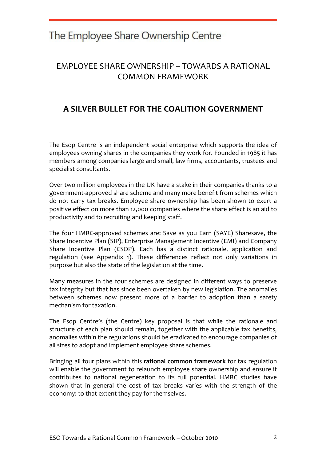## EMPLOYEE SHARE OWNERSHIP – TOWARDS A RATIONAL COMMON FRAMEWORK

## A SILVER BULLET FOR THE COALITION GOVERNMENT

The Esop Centre is an independent social enterprise which supports the idea of employees owning shares in the companies they work for. Founded in 1985 it has members among companies large and small, law firms, accountants, trustees and specialist consultants.

Over two million employees in the UK have a stake in their companies thanks to a government-approved share scheme and many more benefit from schemes which do not carry tax breaks. Employee share ownership has been shown to exert a positive effect on more than 12,000 companies where the share effect is an aid to productivity and to recruiting and keeping staff.

The four HMRC-approved schemes are: Save as you Earn (SAYE) Sharesave, the Share Incentive Plan (SIP), Enterprise Management Incentive (EMI) and Company Share Incentive Plan (CSOP). Each has a distinct rationale, application and regulation (see Appendix 1). These differences reflect not only variations in purpose but also the state of the legislation at the time.

Many measures in the four schemes are designed in different ways to preserve tax integrity but that has since been overtaken by new legislation. The anomalies between schemes now present more of a barrier to adoption than a safety mechanism for taxation.

The Esop Centre's (the Centre) key proposal is that while the rationale and structure of each plan should remain, together with the applicable tax benefits, anomalies within the regulations should be eradicated to encourage companies of all sizes to adopt and implement employee share schemes.

Bringing all four plans within this rational common framework for tax regulation will enable the government to relaunch employee share ownership and ensure it contributes to national regeneration to its full potential. HMRC studies have shown that in general the cost of tax breaks varies with the strength of the economy: to that extent they pay for themselves.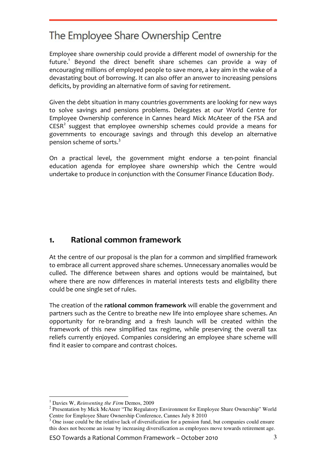Employee share ownership could provide a different model of ownership for the future.<sup>1</sup> Beyond the direct benefit share schemes can provide a way of encouraging millions of employed people to save more, a key aim in the wake of a devastating bout of borrowing. It can also offer an answer to increasing pensions deficits, by providing an alternative form of saving for retirement.

Given the debt situation in many countries governments are looking for new ways to solve savings and pensions problems. Delegates at our World Centre for Employee Ownership conference in Cannes heard Mick McAteer of the FSA and  $CESR<sup>2</sup>$  suggest that employee ownership schemes could provide a means for governments to encourage savings and through this develop an alternative pension scheme of sorts.<sup>3</sup>

On a practical level, the government might endorse a ten-point financial education agenda for employee share ownership which the Centre would undertake to produce in conjunction with the Consumer Finance Education Body.

## 1. Rational common framework

At the centre of our proposal is the plan for a common and simplified framework to embrace all current approved share schemes. Unnecessary anomalies would be culled. The difference between shares and options would be maintained, but where there are now differences in material interests tests and eligibility there could be one single set of rules.

The creation of the rational common framework will enable the government and partners such as the Centre to breathe new life into employee share schemes. An opportunity for re-branding and a fresh launch will be created within the framework of this new simplified tax regime, while preserving the overall tax reliefs currently enjoyed. Companies considering an employee share scheme will find it easier to compare and contrast choices.

 $\overline{a}$ 1 Davies W, *Reinventing the Firm* Demos, 2009

 $2$  Presentation by Mick McAteer "The Regulatory Environment for Employee Share Ownership" World Centre for Employee Share Ownership Conference, Cannes July 8 2010

 $3$  One issue could be the relative lack of diversification for a pension fund, but companies could ensure this does not become an issue by increasing diversification as employees move towards retirement age.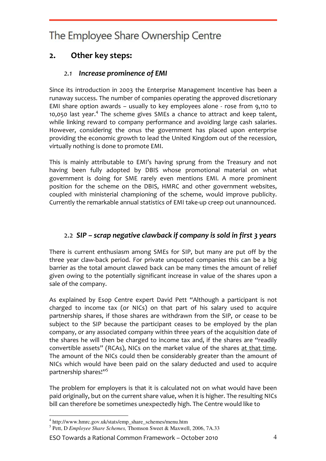## 2. Other key steps:

#### 2.1 Increase prominence of EMI

Since its introduction in 2003 the Enterprise Management Incentive has been a runaway success. The number of companies operating the approved discretionary EMI share option awards – usually to key employees alone - rose from 9,110 to 10,050 last year.<sup>4</sup> The scheme gives SMEs a chance to attract and keep talent, while linking reward to company performance and avoiding large cash salaries. However, considering the onus the government has placed upon enterprise providing the economic growth to lead the United Kingdom out of the recession, virtually nothing is done to promote EMI.

This is mainly attributable to EMI's having sprung from the Treasury and not having been fully adopted by DBIS whose promotional material on what government is doing for SME rarely even mentions EMI. A more prominent position for the scheme on the DBIS, HMRC and other government websites, coupled with ministerial championing of the scheme, would improve publicity. Currently the remarkable annual statistics of EMI take-up creep out unannounced.

#### 2.2 SIP – scrap negative clawback if company is sold in first 3 years

There is current enthusiasm among SMEs for SIP, but many are put off by the three year claw-back period. For private unquoted companies this can be a big barrier as the total amount clawed back can be many times the amount of relief given owing to the potentially significant increase in value of the shares upon a sale of the company.

As explained by Esop Centre expert David Pett "Although a participant is not charged to income tax (or NICs) on that part of his salary used to acquire partnership shares, if those shares are withdrawn from the SIP, or cease to be subject to the SIP because the participant ceases to be employed by the plan company, or any associated company within three years of the acquisition date of the shares he will then be charged to income tax and, if the shares are "readily convertible assets" (RCAs), NICs on the market value of the shares at that time. The amount of the NICs could then be considerably greater than the amount of NICs which would have been paid on the salary deducted and used to acquire partnership shares!"<sup>5</sup>

The problem for employers is that it is calculated not on what would have been paid originally, but on the current share value, when it is higher. The resulting NICs bill can therefore be sometimes unexpectedly high. The Centre would like to

ESO Towards a Rational Common Framework – October 2010 4

 4 http://www.hmrc.gov.uk/stats/emp\_share\_schemes/menu.htm

<sup>5</sup> Pett, D *Employee Share Schemes,* Thomson Sweet & Maxwell, 2006, 7A.33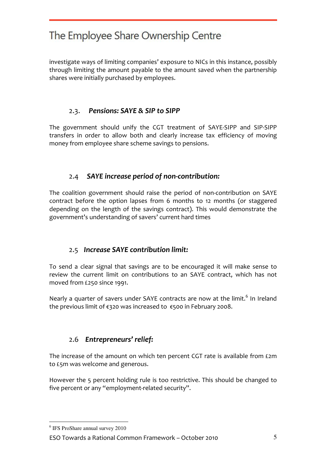investigate ways of limiting companies' exposure to NICs in this instance, possibly through limiting the amount payable to the amount saved when the partnership shares were initially purchased by employees.

#### 2.3. Pensions: SAYE & SIP to SIPP

The government should unify the CGT treatment of SAYE-SIPP and SIP-SIPP transfers in order to allow both and clearly increase tax efficiency of moving money from employee share scheme savings to pensions.

#### 2.4 SAYE increase period of non-contribution:

The coalition government should raise the period of non-contribution on SAYE contract before the option lapses from 6 months to 12 months (or staggered depending on the length of the savings contract). This would demonstrate the government's understanding of savers' current hard times

#### 2.5 Increase SAYE contribution limit:

To send a clear signal that savings are to be encouraged it will make sense to review the current limit on contributions to an SAYE contract, which has not moved from £250 since 1991.

Nearly a quarter of savers under SAYE contracts are now at the limit.<sup>6</sup> In Ireland the previous limit of €320 was increased to €500 in February 2008.

## 2.6 Entrepreneurs' relief:

The increase of the amount on which ten percent CGT rate is available from £2m to £5m was welcome and generous.

However the 5 percent holding rule is too restrictive. This should be changed to five percent or any "employment-related security".

 $\overline{a}$ 

<sup>6</sup> IFS ProShare annual survey 2010

ESO Towards a Rational Common Framework – October 2010 5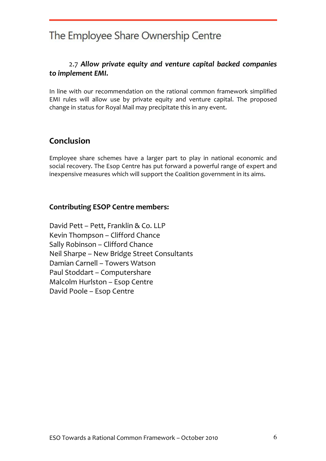#### 2.7 Allow private equity and venture capital backed companies to implement EMI.

In line with our recommendation on the rational common framework simplified EMI rules will allow use by private equity and venture capital. The proposed change in status for Royal Mail may precipitate this in any event.

## Conclusion

Employee share schemes have a larger part to play in national economic and social recovery. The Esop Centre has put forward a powerful range of expert and inexpensive measures which will support the Coalition government in its aims.

#### Contributing ESOP Centre members:

David Pett – Pett, Franklin & Co. LLP Kevin Thompson – Clifford Chance Sally Robinson – Clifford Chance Neil Sharpe – New Bridge Street Consultants Damian Carnell – Towers Watson Paul Stoddart – Computershare Malcolm Hurlston – Esop Centre David Poole – Esop Centre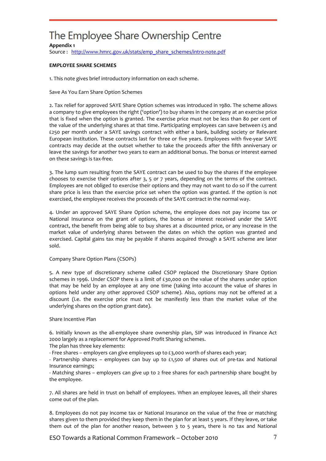#### Appendix 1

Source: http://www.hmrc.gov.uk/stats/emp\_share\_schemes/intro-note.pdf

#### EMPLOYEE SHARE SCHEMES

1. This note gives brief introductory information on each scheme.

Save As You Earn Share Option Schemes

2. Tax relief for approved SAYE Share Option schemes was introduced in 1980. The scheme allows a company to give employees the right ('option') to buy shares in the company at an exercise price that is fixed when the option is granted. The exercise price must not be less than 80 per cent of the value of the underlying shares at that time. Participating employees can save between £5 and £250 per month under a SAYE savings contract with either a bank, building society or Relevant European institution. These contracts last for three or five years. Employees with five-year SAYE contracts may decide at the outset whether to take the proceeds after the fifth anniversary or leave the savings for another two years to earn an additional bonus. The bonus or interest earned on these savings is tax-free.

3. The lump sum resulting from the SAYE contract can be used to buy the shares if the employee chooses to exercise their options after 3, 5 or 7 years, depending on the terms of the contract. Employees are not obliged to exercise their options and they may not want to do so if the current share price is less than the exercise price set when the option was granted. If the option is not exercised, the employee receives the proceeds of the SAYE contract in the normal way.

4. Under an approved SAYE Share Option scheme, the employee does not pay income tax or National Insurance on the grant of options, the bonus or interest received under the SAYE contract, the benefit from being able to buy shares at a discounted price, or any increase in the market value of underlying shares between the dates on which the option was granted and exercised. Capital gains tax may be payable if shares acquired through a SAYE scheme are later sold.

#### Company Share Option Plans (CSOPs)

5. A new type of discretionary scheme called CSOP replaced the Discretionary Share Option schemes in 1996. Under CSOP there is a limit of £30,000 on the value of the shares under option that may be held by an employee at any one time (taking into account the value of shares in options held under any other approved CSOP scheme). Also, options may not be offered at a discount (i.e. the exercise price must not be manifestly less than the market value of the underlying shares on the option grant date).

#### Share Incentive Plan

6. Initially known as the all-employee share ownership plan, SIP was introduced in Finance Act 2000 largely as a replacement for Approved Profit Sharing schemes.

The plan has three key elements:

- Free shares – employers can give employees up to £3,000 worth of shares each year;

- Partnership shares – employees can buy up to  $£1,500$  of shares out of pre-tax and National Insurance earnings;

- Matching shares – employers can give up to 2 free shares for each partnership share bought by the employee.

7. All shares are held in trust on behalf of employees. When an employee leaves, all their shares come out of the plan.

8. Employees do not pay income tax or National Insurance on the value of the free or matching shares given to them provided they keep them in the plan for at least 5 years. If they leave, or take them out of the plan for another reason, between 3 to 5 years, there is no tax and National